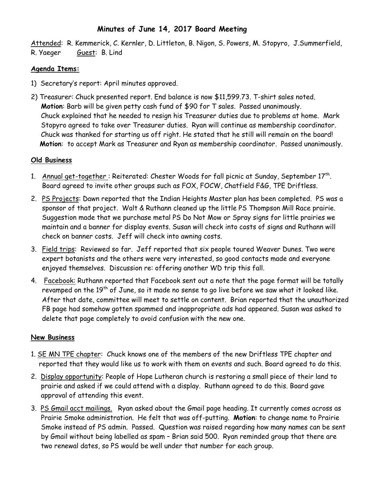## **Minutes of June 14, 2017 Board Meeting**

Attended: R. Kemmerick, C. Kernler, D. Littleton, B. Nigon, S. Powers, M. Stopyro, J.Summerfield, R. Yaeger Guest: B. Lind

#### **Agenda Items:**

- 1) Secretary's report: April minutes approved.
- 2) Treasurer: Chuck presented report. End balance is now \$11,599.73. T-shirt sales noted. **Motion**: Barb will be given petty cash fund of \$90 for T sales. Passed unanimously. Chuck explained that he needed to resign his Treasurer duties due to problems at home. Mark Stopyro agreed to take over Treasurer duties. Ryan will continue as membership coordinator. Chuck was thanked for starting us off right. He stated that he still will remain on the board!  **Motion**: to accept Mark as Treasurer and Ryan as membership coordinator. Passed unanimously.

## **Old Business**

- 1. Annual get-together: Reiterated: Chester Woods for fall picnic at Sunday, September 17<sup>th</sup>. Board agreed to invite other groups such as FOX, FOCW, Chatfield F&G, TPE Driftless.
- 2. PS Projects: Dawn reported that the Indian Heights Master plan has been completed. PS was a sponsor of that project. Walt & Ruthann cleaned up the little PS Thompson Mill Race prairie. Suggestion made that we purchase metal PS Do Not Mow or Spray signs for little prairies we maintain and a banner for display events. Susan will check into costs of signs and Ruthann will check on banner costs. Jeff will check into awning costs.
- 3. Field trips: Reviewed so far. Jeff reported that six people toured Weaver Dunes. Two were expert botanists and the others were very interested, so good contacts made and everyone enjoyed themselves. Discussion re: offering another WD trip this fall.
- 4. Facebook: Ruthann reported that Facebook sent out a note that the page format will be totally revamped on the 19<sup>th</sup> of June, so it made no sense to go live before we saw what it looked like. After that date, committee will meet to settle on content. Brian reported that the unauthorized FB page had somehow gotten spammed and inappropriate ads had appeared. Susan was asked to delete that page completely to avoid confusion with the new one.

# **New Business**

- 1. SE MN TPE chapter: Chuck knows one of the members of the new Driftless TPE chapter and reported that they would like us to work with them on events and such. Board agreed to do this.
- 2. Display opportunity: People of Hope Lutheran church is restoring a small piece of their land to prairie and asked if we could attend with a display. Ruthann agreed to do this. Board gave approval of attending this event.
- 3. PS Gmail acct mailings. Ryan asked about the Gmail page heading. It currently comes across as Prairie Smoke administration. He felt that was off-putting. **Motion**: to change name to Prairie Smoke instead of PS admin. Passed. Question was raised regarding how many names can be sent by Gmail without being labelled as spam – Brian said 500. Ryan reminded group that there are two renewal dates, so PS would be well under that number for each group.